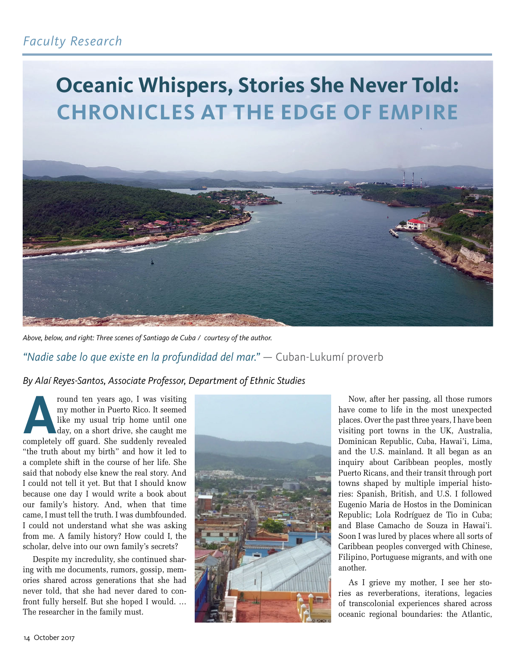

*Above, below, and right: Three scenes of Santiago de Cuba / courtesy of the author.*

*"Nadie sabe lo que existe en la profundidad del mar." —* Cuban-Lukumí proverb

*By Alaí Reyes-Santos, Associate Professor, Department of Ethnic Studies*

**Around ten years ago, I was visiting my mother in Puerto Rico. It seemed like my usual trip home until one day, on a short drive, she caught me completely off guard. She suddenly revealed** my mother in Puerto Rico. It seemed like my usual trip home until one day, on a short drive, she caught me "the truth about my birth" and how it led to a complete shift in the course of her life. She said that nobody else knew the real story. And I could not tell it yet. But that I should know because one day I would write a book about our family's history. And, when that time came, I must tell the truth. I was dumbfounded. I could not understand what she was asking from me. A family history? How could I, the scholar, delve into our own family's secrets?

Despite my incredulity, she continued sharing with me documents, rumors, gossip, memories shared across generations that she had never told, that she had never dared to confront fully herself. But she hoped I would. … The researcher in the family must.



Now, after her passing, all those rumors have come to life in the most unexpected places. Over the past three years, I have been visiting port towns in the UK, Australia, Dominican Republic, Cuba, Hawai'i, Lima, and the U.S. mainland. It all began as an inquiry about Caribbean peoples, mostly Puerto Ricans, and their transit through port towns shaped by multiple imperial histories: Spanish, British, and U.S. I followed Eugenio Maria de Hostos in the Dominican Republic; Lola Rodríguez de Tio in Cuba; and Blase Camacho de Souza in Hawai'i. Soon I was lured by places where all sorts of Caribbean peoples converged with Chinese, Filipino, Portuguese migrants, and with one another.

As I grieve my mother, I see her stories as reverberations, iterations, legacies of transcolonial experiences shared across oceanic regional boundaries: the Atlantic,